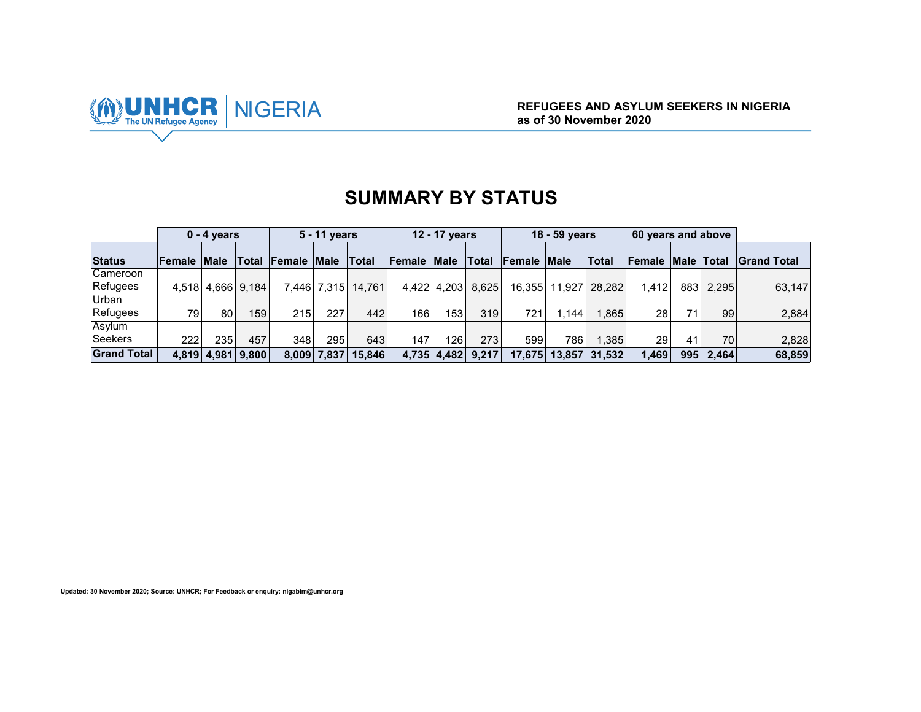

|                    |                    | $0 - 4$ years     |       |                          | 5 - 11 years |        |        | 12 - 17 years    |                   |             | 18 - 59 years |        | 60 years and above |                   |                 |              |
|--------------------|--------------------|-------------------|-------|--------------------------|--------------|--------|--------|------------------|-------------------|-------------|---------------|--------|--------------------|-------------------|-----------------|--------------|
| <b>Status</b>      | <b>Female Male</b> |                   |       | <b>Total Female Male</b> |              | Total  | Female | <b>Male</b>      | Total             | Female Male |               | Total  | <b>Female</b>      | <b>Male Total</b> |                 | ∣Grand Total |
| Cameroon           |                    |                   |       |                          |              |        |        |                  |                   |             |               |        |                    |                   |                 |              |
| Refugees           |                    | 4.518 4.666 9.184 |       |                          | 7,446 7,315  | 14.761 |        |                  | 4,422 4,203 8,625 | 16.355      | 11.927        | 28.282 | 1.412              | 883               | 2,295           | 63.147       |
| Urban              |                    |                   |       |                          |              |        |        |                  |                   |             |               |        |                    |                   |                 |              |
| Refugees           | 79                 | 80                | 159   | 215                      | 227          | 442    | 166    | 153 <sub>1</sub> | 319               | 721         | l.144         | 1.865  | 28                 | 71                | 99 <sub>1</sub> | 2,884        |
| Asylum             |                    |                   |       |                          |              |        |        |                  |                   |             |               |        |                    |                   |                 |              |
| <b>Seekers</b>     | 222                | 235               | 457   | 348                      | 295          | 643    | 147    | 126              | 273               | 599         | 786           | 1.385  | 29                 | 41                | 70              | 2,828        |
| <b>Grand Total</b> |                    | 4,819 4,981       | 9,800 | 8,009                    | 7,837        | 15.846 | 4,735  | 4,482            | 9,217             | 17,675      | 13,857        | 31,532 | 1.469              | 995               | 2.464           | 68,859       |

# **SUMMARY BY STATUS**

**Updated: 30 November 2020; Source: UNHCR; For Feedback or enquiry: nigabim@unhcr.org**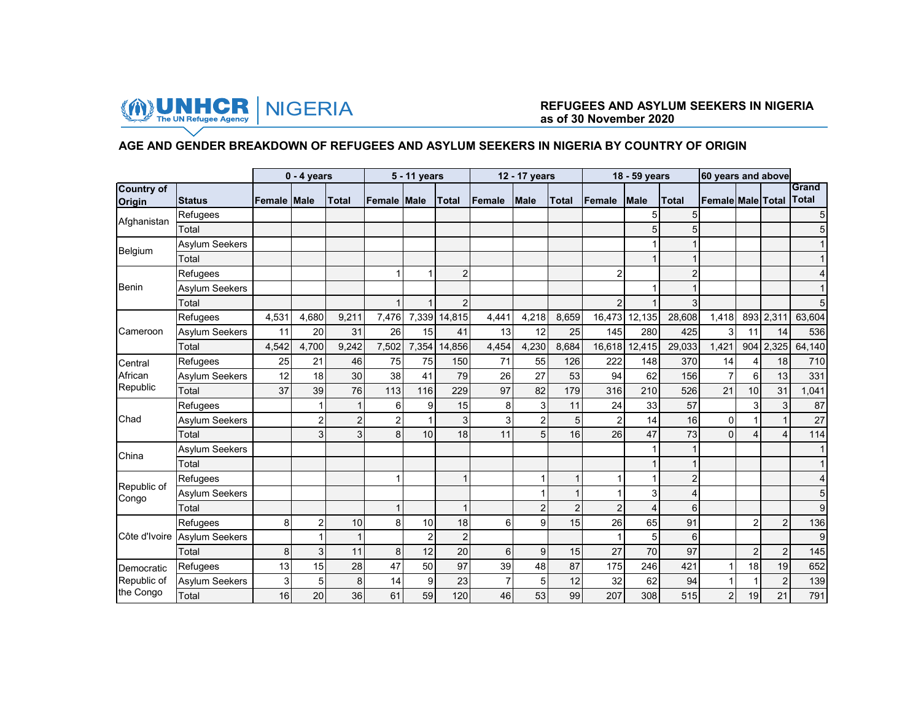

#### **AGE AND GENDER BREAKDOWN OF REFUGEES AND ASYLUM SEEKERS IN NIGERIA BY COUNTRY OF ORIGIN**

|                             |                       |              | $0 - 4$ years  |                |                | 5 - 11 years |                |        | 12 - 17 years  |                |                | 18 - 59 years  |                | 60 years and above       |                |                |                       |
|-----------------------------|-----------------------|--------------|----------------|----------------|----------------|--------------|----------------|--------|----------------|----------------|----------------|----------------|----------------|--------------------------|----------------|----------------|-----------------------|
| <b>Country of</b><br>Origin | <b>Status</b>         | lFemale Male |                | <b>Total</b>   | Female Male    |              | <b>Total</b>   | Female | <b>Male</b>    | <b>Total</b>   | Female         | <b>Male</b>    | <b>Total</b>   | <b>Female Male Total</b> |                |                | Grand<br><b>Total</b> |
|                             | Refugees              |              |                |                |                |              |                |        |                |                |                | 5              | 5              |                          |                |                |                       |
| Afghanistan                 | Total                 |              |                |                |                |              |                |        |                |                |                | 5              | 5              |                          |                |                |                       |
|                             | Asylum Seekers        |              |                |                |                |              |                |        |                |                |                |                |                |                          |                |                |                       |
| Belgium                     | Total                 |              |                |                |                |              |                |        |                |                |                |                |                |                          |                |                |                       |
|                             | Refugees              |              |                |                |                |              | $\overline{2}$ |        |                |                | $\overline{2}$ |                | $\overline{2}$ |                          |                |                |                       |
| <b>Benin</b>                | <b>Asylum Seekers</b> |              |                |                |                |              |                |        |                |                |                |                |                |                          |                |                |                       |
|                             | Total                 |              |                |                |                |              | $\overline{2}$ |        |                |                | 2              |                | 3              |                          |                |                |                       |
|                             | Refugees              | 4,531        | 4.680          | 9,211          | 7,476          | 7,339        | 14,815         | 4,441  | 4,218          | 8,659          | 16,473         | 12,135         | 28,608         | 1,418                    |                | 893 2,311      | 63,604                |
| Cameroon                    | <b>Asylum Seekers</b> | 11           | 20             | 31             | 26             | 15           | 41             | 13     | 12             | 25             | 145            | 280            | 425            | 3                        | 11             | 14             | 536                   |
|                             | Total                 | 4,542        | 4,700          | 9,242          | 7,502          | 7,354        | 14,856         | 4,454  | 4,230          | 8,684          | 16,618         | 12,415         | 29,033         | 1,421                    | 904            | 2,325          | 64,140                |
| Central                     | Refugees              | 25           | 21             | 46             | 75             | 75           | 150            | 71     | 55             | 126            | 222            | 148            | 370            | 14                       | 4              | 18             | 710                   |
| African                     | <b>Asylum Seekers</b> | 12           | 18             | 30             | 38             | 41           | 79             | 26     | 27             | 53             | 94             | 62             | 156            | $\overline{7}$           | 6              | 13             | 331                   |
| Republic                    | Total                 | 37           | 39             | 76             | 113            | 116          | 229            | 97     | 82             | 179            | 316            | 210            | 526            | 21                       | 10             | 31             | 1,041                 |
|                             | Refugees              |              |                |                | 6              | 9            | 15             | 8      | 3              | 11             | 24             | 33             | 57             |                          | 3              | $\overline{3}$ | 87                    |
| Chad                        | <b>Asylum Seekers</b> |              | 2              | $\overline{2}$ | $\overline{2}$ |              | 3              | 3      | $\overline{2}$ | 5 <sup>1</sup> | $\overline{2}$ | 14             | 16             | 0                        |                |                | 27                    |
|                             | Total                 |              | 3              | 3              | 8              | 10           | 18             | 11     | 5              | 16             | 26             | 47             | 73             | $\mathbf 0$              | 4              | 4              | 114                   |
| China                       | Asylum Seekers        |              |                |                |                |              |                |        |                |                |                |                |                |                          |                |                |                       |
|                             | Total                 |              |                |                |                |              |                |        |                |                |                |                |                |                          |                |                |                       |
|                             | Refugees              |              |                |                |                |              |                |        |                |                |                |                | $\overline{2}$ |                          |                |                |                       |
| Republic of<br>Congo        | <b>Asylum Seekers</b> |              |                |                |                |              |                |        |                |                |                | 3              | 4              |                          |                |                |                       |
|                             | Total                 |              |                |                |                |              |                |        | $\overline{2}$ | $\overline{2}$ | $\overline{2}$ | $\overline{4}$ | 6              |                          |                |                | 9                     |
|                             | Refugees              | 8            | $\overline{2}$ | 10             | 8              | 10           | 18             | 6      | 9              | 15             | 26             | 65             | 91             |                          | $\overline{2}$ | $\overline{2}$ | 136                   |
| Côte d'Ivoire               | <b>Asylum Seekers</b> |              |                | $\mathbf{1}$   |                | 2            | $\overline{2}$ |        |                |                |                | 5              | 6              |                          |                |                | 9                     |
|                             | Total                 | 8            | 3              | 11             | 8              | 12           | 20             | 6      | 9              | 15             | 27             | 70             | 97             |                          | $\overline{2}$ | $\overline{2}$ | 145                   |
| Democratic                  | Refugees              | 13           | 15             | 28             | 47             | 50           | 97             | 39     | 48             | 87             | 175            | 246            | 421            | $\mathbf 1$              | 18             | 19             | 652                   |
| Republic of                 | Asylum Seekers        | 3            | 5              | 8              | 14             | 9            | 23             |        | 5              | 12             | 32             | 62             | 94             |                          |                | 2              | 139                   |
| the Congo                   | Total                 | 16           | 20             | 36             | 61             | 59           | 120            | 46     | 53             | 99             | 207            | 308            | 515            | $\sqrt{2}$               | 19             | 21             | 791                   |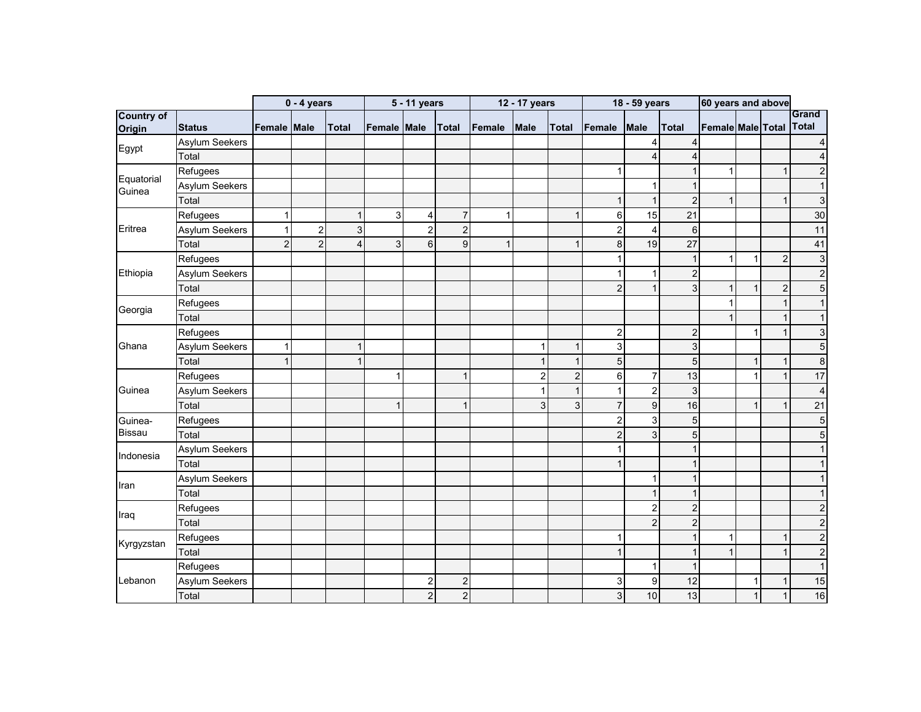|                             |                       |                | $0 - 4$ years  |                         |                    | 5 - 11 years            |                |        | 12 - 17 years  |                |                | 18 - 59 years    |                | 60 years and above |              |                |                              |
|-----------------------------|-----------------------|----------------|----------------|-------------------------|--------------------|-------------------------|----------------|--------|----------------|----------------|----------------|------------------|----------------|--------------------|--------------|----------------|------------------------------|
| <b>Country of</b><br>Origin | <b>Status</b>         | Female Male    |                | <b>Total</b>            | <b>Female Male</b> |                         | <b>Total</b>   | Female | <b>Male</b>    | <b>Total</b>   | Female         | <b>Male</b>      | Total          | Female Male Total  |              |                | <b>Grand</b><br><b>Total</b> |
|                             | Asylum Seekers        |                |                |                         |                    |                         |                |        |                |                |                | 4                | 4              |                    |              |                |                              |
| Egypt                       | Total                 |                |                |                         |                    |                         |                |        |                |                |                | $\overline{4}$   | 4              |                    |              |                |                              |
|                             | Refugees              |                |                |                         |                    |                         |                |        |                |                |                |                  | -1             | 1                  |              | $\mathbf{1}$   | 2                            |
| Equatorial<br>Guinea        | <b>Asylum Seekers</b> |                |                |                         |                    |                         |                |        |                |                |                | 1                | $\overline{1}$ |                    |              |                |                              |
|                             | Total                 |                |                |                         |                    |                         |                |        |                |                |                | $\mathbf{1}$     | $\overline{2}$ | $\mathbf{1}$       |              | $\mathbf{1}$   | 3                            |
|                             | Refugees              | 1              |                | 1                       | 3                  | 4                       | $\overline{7}$ |        |                | 1              | 6              | 15               | 21             |                    |              |                | 30                           |
| Eritrea                     | Asylum Seekers        |                | 2              | 3                       |                    | $\overline{2}$          | $\overline{2}$ |        |                |                | $\overline{2}$ | 4                | 6              |                    |              |                | 11                           |
|                             | Total                 | $\overline{2}$ | $\overline{c}$ | $\overline{\mathbf{4}}$ | 3                  | 6                       | 9              | 1      |                | -1             | 8              | 19               | 27             |                    |              |                | 41                           |
|                             | Refugees              |                |                |                         |                    |                         |                |        |                |                |                |                  | $\overline{1}$ | $\mathbf 1$        | 1            | $\overline{2}$ | 3                            |
| Ethiopia                    | <b>Asylum Seekers</b> |                |                |                         |                    |                         |                |        |                |                |                | 1                | $\overline{2}$ |                    |              |                | $\overline{2}$               |
|                             | Total                 |                |                |                         |                    |                         |                |        |                |                | 2              | $\mathbf{1}$     | 3              | $\mathbf{1}$       | 1            | $\mathbf 2$    | 5                            |
|                             | Refugees              |                |                |                         |                    |                         |                |        |                |                |                |                  |                | $\mathbf{1}$       |              | $\mathbf{1}$   |                              |
| Georgia                     | Total                 |                |                |                         |                    |                         |                |        |                |                |                |                  |                |                    |              |                |                              |
|                             | Refugees              |                |                |                         |                    |                         |                |        |                |                | $\overline{2}$ |                  | $\overline{c}$ |                    | 1            | 1              | 3                            |
| Ghana                       | Asylum Seekers        | 1              |                | 1                       |                    |                         |                |        | 1              |                | 3              |                  | 3              |                    |              |                | 5                            |
|                             | Total                 | 1              |                | 1                       |                    |                         |                |        | 1              | $\mathbf{1}$   | 5              |                  | 5              |                    | 1            | 1              | 8                            |
|                             | Refugees              |                |                |                         |                    |                         | $\mathbf 1$    |        | $\overline{c}$ | $\overline{c}$ | 6              | $\overline{7}$   | 13             |                    | 1            | $\mathbf{1}$   | 17                           |
| Guinea                      | Asylum Seekers        |                |                |                         |                    |                         |                |        | 1              | $\mathbf{1}$   | ŕ              | $\overline{2}$   | 3              |                    |              |                | 4                            |
|                             | Total                 |                |                |                         | 1                  |                         | $\overline{1}$ |        | 3              | $\mathbf{3}$   | $\overline{7}$ | $\overline{9}$   | 16             |                    | 1            | 1              | 21                           |
| Guinea-                     | Refugees              |                |                |                         |                    |                         |                |        |                |                | $\overline{2}$ | 3                | 5              |                    |              |                | 5                            |
| <b>Bissau</b>               | Total                 |                |                |                         |                    |                         |                |        |                |                | $\overline{c}$ | 3 <sup>1</sup>   | 5              |                    |              |                |                              |
| Indonesia                   | <b>Asylum Seekers</b> |                |                |                         |                    |                         |                |        |                |                |                |                  | $\mathbf 1$    |                    |              |                |                              |
|                             | Total                 |                |                |                         |                    |                         |                |        |                |                |                |                  | -1             |                    |              |                |                              |
|                             | Asylum Seekers        |                |                |                         |                    |                         |                |        |                |                |                | 1                | $\overline{1}$ |                    |              |                |                              |
| Iran                        | Total                 |                |                |                         |                    |                         |                |        |                |                |                | $\mathbf{1}$     | $\mathbf{1}$   |                    |              |                |                              |
|                             | Refugees              |                |                |                         |                    |                         |                |        |                |                |                | $\sqrt{2}$       | $\overline{c}$ |                    |              |                |                              |
| Iraq                        | Total                 |                |                |                         |                    |                         |                |        |                |                |                | $\overline{c}$   | $\overline{c}$ |                    |              |                | 2                            |
|                             | Refugees              |                |                |                         |                    |                         |                |        |                |                |                |                  | $\mathbf{1}$   | $\mathbf{1}$       |              | 1              | $\overline{c}$               |
| Kyrgyzstan                  | Total                 |                |                |                         |                    |                         |                |        |                |                |                |                  | $\mathbf{1}$   | $\mathbf{1}$       |              | $\overline{1}$ | $\mathbf 2$                  |
|                             | Refugees              |                |                |                         |                    |                         |                |        |                |                |                | 1                | $\mathbf{1}$   |                    |              |                |                              |
| Lebanon                     | Asylum Seekers        |                |                |                         |                    | $\overline{\mathbf{c}}$ | $\overline{c}$ |        |                |                | 3              | $\boldsymbol{9}$ | 12             |                    | 1            | 1              | 15                           |
|                             | Total                 |                |                |                         |                    | $\overline{a}$          | $\overline{c}$ |        |                |                | 3              | 10               | 13             |                    | $\mathbf{1}$ | $\mathbf{1}$   | 16                           |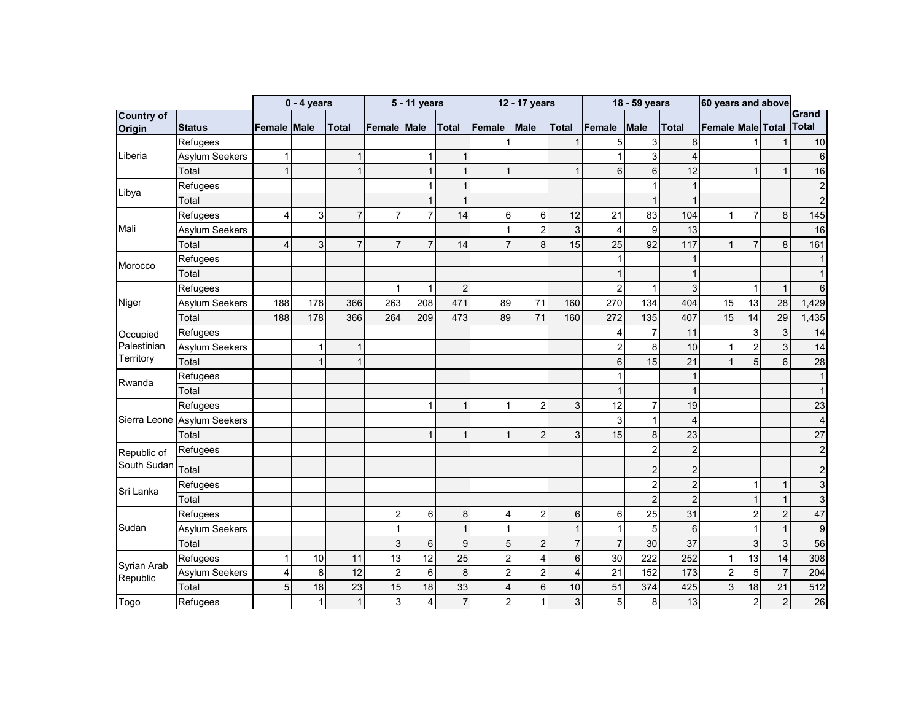|                             |                       |                    | $0 - 4$ years |                |                | 5 - 11 years   |                 |                | 12 - 17 years  |                  |                | 18 - 59 years  |                | 60 years and above |                |                           |                              |
|-----------------------------|-----------------------|--------------------|---------------|----------------|----------------|----------------|-----------------|----------------|----------------|------------------|----------------|----------------|----------------|--------------------|----------------|---------------------------|------------------------------|
| <b>Country of</b><br>Origin | <b>Status</b>         | <b>Female Male</b> |               | <b>Total</b>   | Female         | Male           | <b>Total</b>    | <b>Female</b>  | <b>Male</b>    | <b>Total</b>     | Female         | <b>Male</b>    | Total          | Female Male Total  |                |                           | <b>Grand</b><br><b>Total</b> |
|                             | Refugees              |                    |               |                |                |                |                 |                |                |                  | 5              | 3              | 8              |                    |                |                           | 10                           |
| Liberia                     | Asylum Seekers        | 1                  |               | $\overline{1}$ |                | 1              |                 |                |                |                  |                | $\overline{3}$ | 4              |                    |                |                           |                              |
|                             | Total                 |                    |               | 1              |                |                |                 | 1              |                | $\mathbf 1$      | 6              | $6 \mid$       | 12             |                    |                | $\mathbf{1}$              | 16                           |
|                             | Refugees              |                    |               |                |                |                | -1              |                |                |                  |                | 1              | $\mathbf{1}$   |                    |                |                           | $\overline{\mathbf{c}}$      |
| Libya                       | Total                 |                    |               |                |                | 1              | $\overline{1}$  |                |                |                  |                | $\mathbf{1}$   | $\overline{1}$ |                    |                |                           | $\overline{c}$               |
|                             | Refugees              | $\overline{4}$     | 3             | $\overline{7}$ | 7              | $\overline{7}$ | 14              | 6              | 6              | 12               | 21             | 83             | 104            | $\mathbf{1}$       | $\overline{7}$ | 8                         | 145                          |
| Mali                        | Asylum Seekers        |                    |               |                |                |                |                 | 1              | $\overline{c}$ | 3                | $\overline{4}$ | 9              | 13             |                    |                |                           | 16                           |
|                             | Total                 | 4                  | 3             | $\overline{7}$ | $\overline{7}$ | $\overline{7}$ | 14              | $\overline{7}$ | 8              | 15               | 25             | 92             | 117            | $\mathbf{1}$       | $\overline{7}$ | 8                         | 161                          |
| Morocco                     | Refugees              |                    |               |                |                |                |                 |                |                |                  |                |                | $\mathbf 1$    |                    |                |                           |                              |
|                             | Total                 |                    |               |                |                |                |                 |                |                |                  |                |                | $\overline{1}$ |                    |                |                           |                              |
|                             | Refugees              |                    |               |                | 1              | 1              | $\overline{c}$  |                |                |                  | $\overline{2}$ | $\mathbf{1}$   | 3              |                    | 1              | $\mathbf 1$               | 6                            |
| Niger                       | <b>Asylum Seekers</b> | 188                | 178           | 366            | 263            | 208            | 471             | 89             | 71             | 160              | 270            | 134            | 404            | 15                 | 13             | 28                        | 1,429                        |
|                             | Total                 | 188                | 178           | 366            | 264            | 209            | 473             | 89             | 71             | 160              | 272            | 135            | 407            | 15                 | 14             | 29                        | 1,435                        |
| Occupied                    | Refugees              |                    |               |                |                |                |                 |                |                |                  | 4              | $\overline{7}$ | 11             |                    | 3              | $\ensuremath{\mathsf{3}}$ | 14                           |
| Palestinian                 | <b>Asylum Seekers</b> |                    | 1             | $\mathbf{1}$   |                |                |                 |                |                |                  | $\overline{c}$ | 8              | 10             | $\mathbf{1}$       | $\overline{2}$ | $\overline{3}$            | 14                           |
| Territory                   | Total                 |                    | 1             | $\overline{1}$ |                |                |                 |                |                |                  | 6              | 15             | 21             | $\mathbf{1}$       | 5              | 6                         | 28                           |
| Rwanda                      | Refugees              |                    |               |                |                |                |                 |                |                |                  |                |                | $\mathbf{1}$   |                    |                |                           |                              |
|                             | Total                 |                    |               |                |                |                |                 |                |                |                  |                |                | $\mathbf{1}$   |                    |                |                           |                              |
|                             | Refugees              |                    |               |                |                | 1              |                 |                | $\overline{2}$ | 3                | 12             | $\overline{7}$ | 19             |                    |                |                           | 23                           |
| Sierra Leone                | <b>Asylum Seekers</b> |                    |               |                |                |                |                 |                |                |                  | 3              | $\mathbf{1}$   | $\overline{4}$ |                    |                |                           | 4                            |
|                             | Total                 |                    |               |                |                | 1              |                 |                | $\overline{2}$ | 3                | 15             | 8              | 23             |                    |                |                           | 27                           |
| Republic of                 | Refugees              |                    |               |                |                |                |                 |                |                |                  |                | $\overline{2}$ | $\overline{c}$ |                    |                |                           | $\overline{2}$               |
| South Sudan                 | Total                 |                    |               |                |                |                |                 |                |                |                  |                | $\overline{2}$ | $\overline{c}$ |                    |                |                           | 2                            |
| Sri Lanka                   | Refugees              |                    |               |                |                |                |                 |                |                |                  |                | $\overline{2}$ | $\overline{c}$ |                    | $\mathbf{1}$   | $\mathbf{1}$              | 3                            |
|                             | Total                 |                    |               |                |                |                |                 |                |                |                  |                | $\overline{2}$ | $\overline{2}$ |                    |                | $\mathbf{1}$              | 3                            |
|                             | Refugees              |                    |               |                | $\overline{2}$ | 6              | 8               | 4              | $\overline{2}$ | $6 \overline{6}$ | 6              | 25             | 31             |                    | $\overline{2}$ | $\overline{2}$            | 47                           |
| Sudan                       | Asylum Seekers        |                    |               |                |                |                | $\overline{1}$  |                |                | $\mathbf{1}$     | f              | 5              | 6              |                    |                | $\mathbf{1}$              | 9                            |
|                             | Total                 |                    |               |                | 3              | 6              | 9               | 5              | $\overline{2}$ | $\overline{7}$   | $\overline{7}$ | 30             | 37             |                    | 3              | 3                         | 56                           |
|                             | Refugees              | 1                  | 10            | 11             | 13             | 12             | $\overline{25}$ | $\overline{c}$ | $\overline{4}$ | $\,6$            | 30             | 222            | 252            | $\mathbf{1}$       | 13             | 14                        | 308                          |
| Syrian Arab<br>Republic     | <b>Asylum Seekers</b> | 4                  | 8             | 12             | $\overline{2}$ | 6              | 8               | $\overline{2}$ | $\overline{2}$ | $\overline{4}$   | 21             | 152            | 173            | $\overline{2}$     | 5              | $\overline{7}$            | 204                          |
|                             | Total                 | 5                  | 18            | 23             | 15             | 18             | 33              | $\overline{4}$ | 6              | 10               | 51             | 374            | 425            | $\mathbf{3}$       | 18             | 21                        | 512                          |
| Togo                        | Refugees              |                    | 1             | $\mathbf{1}$   | 3              | 4              | $\overline{7}$  | $\overline{2}$ | 1              | 3                | 5              | 8              | 13             |                    | $\overline{2}$ | $\overline{\mathbf{c}}$   | 26                           |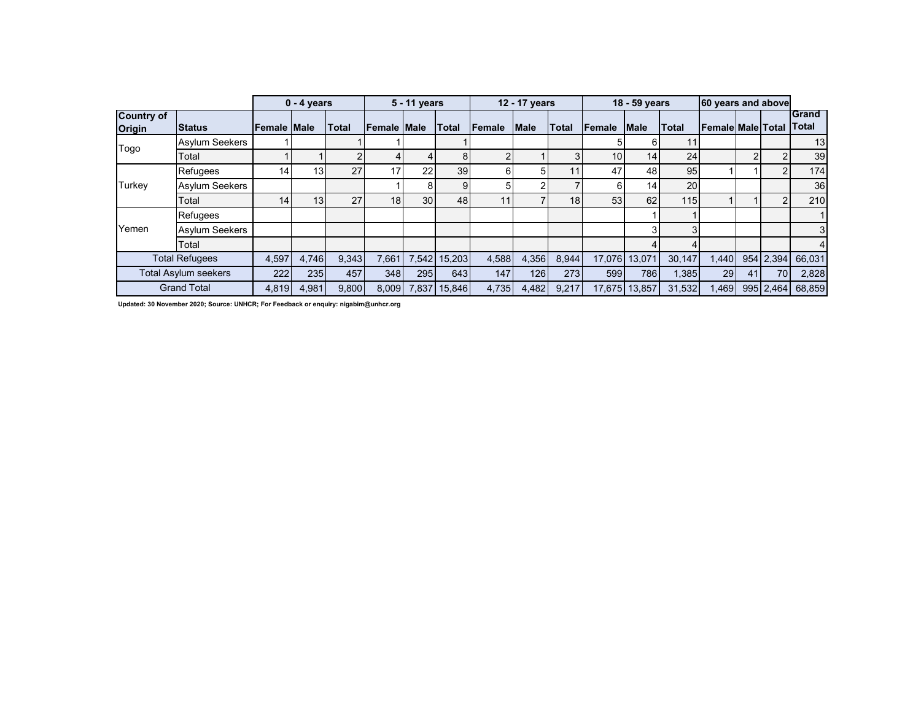|                                    |                             |                 | $0 - 4$ years   |       |                 | 5 - 11 years |              |        | 12 - 17 years |                 |                 | 18 - 59 years   |              | 60 years and above        |    |           |                              |
|------------------------------------|-----------------------------|-----------------|-----------------|-------|-----------------|--------------|--------------|--------|---------------|-----------------|-----------------|-----------------|--------------|---------------------------|----|-----------|------------------------------|
| <b>Country of</b><br><b>Origin</b> | <b>Status</b>               | Female Male     |                 | Total | Female Male     |              | <b>Total</b> | Female | <b>Male</b>   | <b>ITotal</b>   | <b>IFemale</b>  | <b>Male</b>     | <b>Total</b> | <b>IFemale Male Total</b> |    |           | <b>Grand</b><br><b>Total</b> |
| Togo                               | <b>Asylum Seekers</b>       |                 |                 |       |                 |              |              |        |               |                 |                 | 61              | 11           |                           |    |           | 13                           |
|                                    | Total                       |                 |                 |       |                 |              | 8            |        |               | 3               | 10 <sub>1</sub> | 14 <sub>1</sub> | 24           |                           |    |           | 39                           |
|                                    | <b>Refugees</b>             | 14 <sub>1</sub> | 13 <sup>1</sup> | 27    | 17              | 22           | 39           |        |               | 11              | 47              | 48              | 95           |                           |    |           | 174                          |
| Turkey                             | <b>Asylum Seekers</b>       |                 |                 |       |                 | 81           | 9            |        |               |                 |                 | 14              | 20           |                           |    |           | 36 <sup>1</sup>              |
|                                    | Total                       | 14              | 13 <sub>1</sub> | 27    | 18 <sub>1</sub> | 30           | 48           |        |               | 18 <sub>1</sub> | 53              | 62              | 115          |                           |    |           | 210                          |
|                                    | Refugees                    |                 |                 |       |                 |              |              |        |               |                 |                 |                 |              |                           |    |           |                              |
| Yemen                              | <b>Asylum Seekers</b>       |                 |                 |       |                 |              |              |        |               |                 |                 | 3               |              |                           |    |           | 3 <sup>l</sup>               |
|                                    | Total                       |                 |                 |       |                 |              |              |        |               |                 |                 |                 |              |                           |    |           | 4                            |
|                                    | <b>Total Refugees</b>       | 4,597           | 4,746           | 9,343 | 7,661           |              | 7,542 15,203 | 4,588  | 4,356         | 8,944           |                 | 17,076 13,071   | 30,147       | 1,440                     |    | 954 2,394 | 66,031                       |
|                                    | <b>Total Asylum seekers</b> | 222             | 235             | 457   | 348             | 295          | 643          | 147    | 126           | <b>273</b>      | 599             | 786             | 1,385        | 29                        | 41 | 70        | 2,828                        |
|                                    | <b>Grand Total</b>          | 4,819           | 4,981           | 9.800 | 8.009           | 7.837        | 15.846       | 4.735  | 4,482         | 9.217           |                 | 17,675 13,857   | 31,532       | 1.469                     |    | 995 2.464 | 68,859                       |

**Updated: 30 November 2020; Source: UNHCR; For Feedback or enquiry: nigabim@unhcr.org**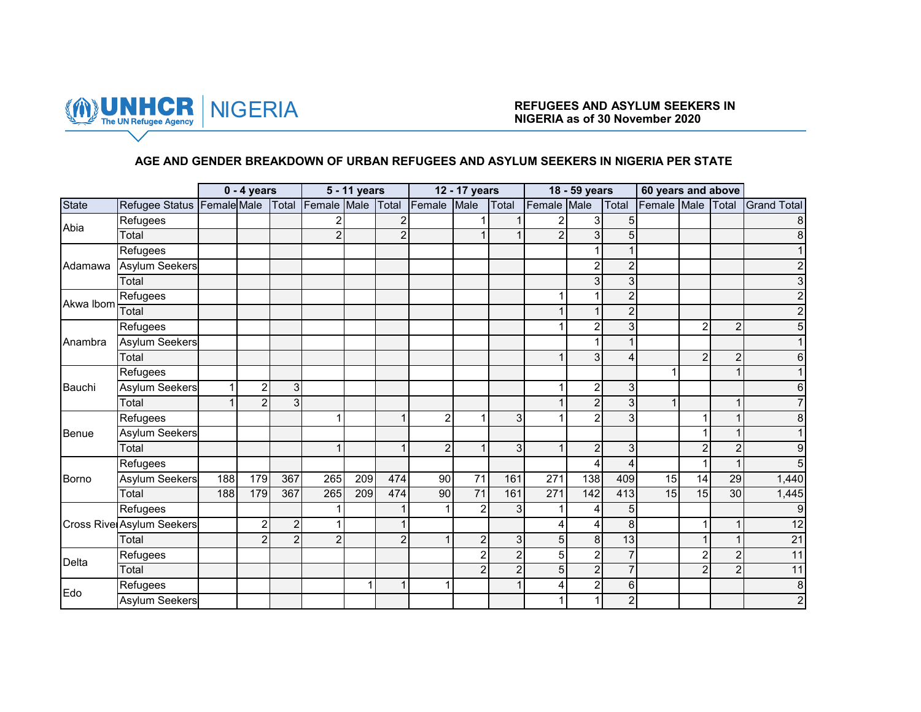

### **AGE AND GENDER BREAKDOWN OF URBAN REFUGEES AND ASYLUM SEEKERS IN NIGERIA PER STATE**

|              |                                  |     | $0 - 4$ years    |                |                | 5 - 11 years |                |                | 12 - 17 years  |                |                | 18 - 59 years  |                | 60 years and above |                |                |                         |
|--------------|----------------------------------|-----|------------------|----------------|----------------|--------------|----------------|----------------|----------------|----------------|----------------|----------------|----------------|--------------------|----------------|----------------|-------------------------|
| <b>State</b> | Refugee Status Female Male       |     |                  | Total          | Female Male    |              | Total          | Female         | Male           | Total          | Female Male    |                | Total          | Female Male Total  |                |                | <b>Grand Total</b>      |
|              | Refugees                         |     |                  |                |                |              | $\overline{2}$ |                |                |                |                | 3              | 5              |                    |                |                |                         |
| Abia         | Total                            |     |                  |                | $\mathfrak{p}$ |              | 2              |                |                |                | $\overline{2}$ |                | 5              |                    |                |                |                         |
|              | Refugees                         |     |                  |                |                |              |                |                |                |                |                |                |                |                    |                |                |                         |
| Adamawa      | Asylum Seekers                   |     |                  |                |                |              |                |                |                |                |                | 2              | $\overline{c}$ |                    |                |                |                         |
|              | Total                            |     |                  |                |                |              |                |                |                |                |                |                | 3              |                    |                |                |                         |
| Akwa Ibom    | Refugees                         |     |                  |                |                |              |                |                |                |                |                |                | $\overline{2}$ |                    |                |                |                         |
|              | Total                            |     |                  |                |                |              |                |                |                |                |                |                | $\overline{2}$ |                    |                |                |                         |
|              | Refugees                         |     |                  |                |                |              |                |                |                |                |                |                | 3              |                    | $\overline{2}$ | 2              |                         |
| Anambra      | <b>Asylum Seekers</b>            |     |                  |                |                |              |                |                |                |                |                |                |                |                    |                |                |                         |
|              | Total                            |     |                  |                |                |              |                |                |                |                |                | 3              | 4              |                    | $\overline{2}$ | $\overline{c}$ |                         |
|              | Refugees                         |     |                  |                |                |              |                |                |                |                |                |                |                |                    |                |                |                         |
| Bauchi       | <b>Asylum Seekers</b>            |     | $\overline{c}$   | 3              |                |              |                |                |                |                |                | $\overline{2}$ | 3              |                    |                |                |                         |
|              | Total                            |     | $\overline{2}$   | 3              |                |              |                |                |                |                |                | $\overline{2}$ | 3              |                    |                |                |                         |
|              | Refugees                         |     |                  |                |                |              |                | 2              |                | 3              |                |                | 3              |                    | 1              |                |                         |
| Benue        | Asylum Seekers                   |     |                  |                |                |              |                |                |                |                |                |                |                |                    |                |                |                         |
|              | Total                            |     |                  |                |                |              | 1              | $\overline{2}$ | 1              | 3              | $\overline{A}$ | 2              | 3              |                    | $\overline{c}$ | $\overline{c}$ |                         |
|              | Refugees                         |     |                  |                |                |              |                |                |                |                |                |                | 4              |                    | 1              |                |                         |
| Borno        | Asylum Seekers                   | 188 | 179              | 367            | 265            | 209          | 474            | 90             | 71             | 161            | 271            | 138            | 409            | 15                 | 14             | 29             | 1,440                   |
|              | Total                            | 188 | 179              | 367            | 265            | 209          | 474            | 90             | 71             | 161            | 271            | 142            | 413            | 15                 | 15             | 30             | 1,445                   |
|              | Refugees                         |     |                  |                |                |              |                |                | $\overline{2}$ | 3 <sub>l</sub> |                |                | 5              |                    |                |                |                         |
|              | <b>Cross Rive Asylum Seekers</b> |     | $\boldsymbol{2}$ | $\overline{2}$ |                |              |                |                |                |                | 4              |                | 8              |                    | 1              |                | 12                      |
|              | Total                            |     | $\overline{2}$   | $\overline{2}$ | $\overline{2}$ |              | $\overline{2}$ |                | $\overline{2}$ | 3 <sup>1</sup> | 5 <sup>1</sup> | 8              | 13             |                    | $\mathbf{1}$   |                | $\overline{21}$         |
| Delta        | Refugees                         |     |                  |                |                |              |                |                | $\overline{2}$ | $\overline{c}$ | 5              | $\mathfrak{p}$ | 7              |                    | $\overline{c}$ | $\overline{2}$ | 11                      |
|              | Total                            |     |                  |                |                |              |                |                | $\overline{2}$ | $\overline{2}$ | 5              | $\overline{2}$ |                |                    | $\overline{2}$ | $\overline{2}$ | 11                      |
| Edo          | Refugees                         |     |                  |                |                |              |                |                |                |                | 4              | $\overline{2}$ | 6              |                    |                |                | 8                       |
|              | <b>Asylum Seekers</b>            |     |                  |                |                |              |                |                |                |                |                |                | $\overline{2}$ |                    |                |                | $\overline{\mathbf{c}}$ |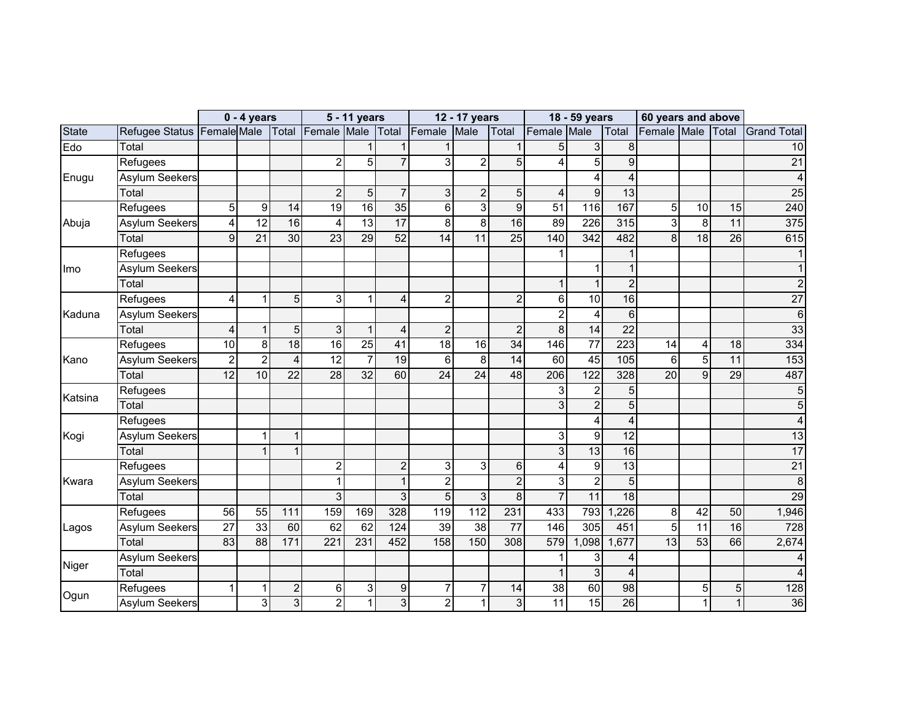|              |                                              |                 | $0 - 4$ years   |                 |                 | 5 - 11 years    |                  |                 | 12 - 17 years   |                 |                 | 18 - 59 years    |                         | 60 years and above |                 |                 |                    |
|--------------|----------------------------------------------|-----------------|-----------------|-----------------|-----------------|-----------------|------------------|-----------------|-----------------|-----------------|-----------------|------------------|-------------------------|--------------------|-----------------|-----------------|--------------------|
| <b>State</b> | Refugee Status Female Male Total Female Male |                 |                 |                 |                 |                 |                  | Total Female    | Male            | Total           | Female          | Male             | Total                   | Female Male Total  |                 |                 | <b>Grand Total</b> |
| Edo          | Total                                        |                 |                 |                 |                 |                 |                  |                 |                 |                 | 5               | 3                | 8                       |                    |                 |                 | 10                 |
|              | Refugees                                     |                 |                 |                 | $\overline{2}$  | 5               | $\overline{7}$   | 3               | $\overline{2}$  | 5               | 4               | 5                | 9                       |                    |                 |                 | $\overline{21}$    |
| Enugu        | <b>Asylum Seekers</b>                        |                 |                 |                 |                 |                 |                  |                 |                 |                 |                 |                  | 4                       |                    |                 |                 | 4                  |
|              | Total                                        |                 |                 |                 | $\overline{2}$  | 5               | $\overline{7}$   | 3               | $\overline{c}$  | 5               | $\overline{4}$  | 9                | 13                      |                    |                 |                 | 25                 |
|              | Refugees                                     | 5               | 9               | 14              | 19              | 16              | 35               | 6               | 3 <sup>1</sup>  | 9               | $\overline{51}$ | 116              | 167                     | $\overline{5}$     | 10              | 15              | 240                |
| Abuja        | <b>Asylum Seekers</b>                        | 4               | 12              | 16              | 4               | 13              | 17               | 8               | 8 <sup>1</sup>  | 16              | 89              | 226              | 315                     | 3                  | 8               | 11              | 375                |
|              | Total                                        | $\overline{9}$  | $\overline{21}$ | 30              | $\overline{23}$ | $\overline{29}$ | $\overline{52}$  | $\overline{14}$ | 11              | $\overline{25}$ | 140             | $\overline{342}$ | 482                     | 8                  | $\overline{18}$ | $\overline{26}$ | 615                |
|              | Refugees                                     |                 |                 |                 |                 |                 |                  |                 |                 |                 | 1               |                  |                         |                    |                 |                 |                    |
| Imo          | <b>Asylum Seekers</b>                        |                 |                 |                 |                 |                 |                  |                 |                 |                 |                 |                  |                         |                    |                 |                 |                    |
|              | Total                                        |                 |                 |                 |                 |                 |                  |                 |                 |                 | 1               |                  | $\overline{2}$          |                    |                 |                 |                    |
|              | Refugees                                     | 4               | 1               | 5               | 3               | 1               | 4                | $\overline{2}$  |                 | $\overline{2}$  | 6               | 10               | 16                      |                    |                 |                 | $\overline{27}$    |
| Kaduna       | <b>Asylum Seekers</b>                        |                 |                 |                 |                 |                 |                  |                 |                 |                 | $\overline{c}$  | $\overline{4}$   | 6                       |                    |                 |                 | 6                  |
|              | Total                                        | $\overline{4}$  | $\mathbf{1}$    | 5               | 3               | 1               | 4                | $\overline{c}$  |                 | $\overline{2}$  | 8               | 14               | 22                      |                    |                 |                 | 33                 |
|              | Refugees                                     | 10              | 8 <sup>1</sup>  | 18              | 16              | 25              | 41               | 18              | 16              | $\overline{34}$ | 146             | $\overline{77}$  | 223                     | 14                 | 4               | 18              | 334                |
| Kano         | <b>Asylum Seekers</b>                        | $\overline{2}$  | $\overline{2}$  | $\overline{4}$  | 12              | $\overline{7}$  | 19               | $6\phantom{1}$  | 8 <sup>1</sup>  | 14              | 60              | 45               | 105                     | 6                  | $\overline{5}$  | 11              | 153                |
|              | Total                                        | $\overline{12}$ | 10              | 22              | 28              | $\overline{32}$ | 60               | 24              | $\overline{24}$ | 48              | 206             | $\overline{122}$ | 328                     | $\overline{20}$    | $\overline{9}$  | 29              | 487                |
| Katsina      | Refugees                                     |                 |                 |                 |                 |                 |                  |                 |                 |                 | 3               | $\overline{2}$   | 5                       |                    |                 |                 |                    |
|              | Total                                        |                 |                 |                 |                 |                 |                  |                 |                 |                 | 3 <sup>1</sup>  | $\overline{2}$   | $\overline{5}$          |                    |                 |                 | 5                  |
|              | Refugees                                     |                 |                 |                 |                 |                 |                  |                 |                 |                 |                 | 4                | $\overline{4}$          |                    |                 |                 |                    |
| Kogi         | Asylum Seekers                               |                 | 1               | $\mathbf 1$     |                 |                 |                  |                 |                 |                 | 3               | 9                | $\overline{12}$         |                    |                 |                 | $\overline{13}$    |
|              | Total                                        |                 | 1               |                 |                 |                 |                  |                 |                 |                 | 3               | $\overline{13}$  | 16                      |                    |                 |                 | 17                 |
|              | Refugees                                     |                 |                 |                 | 2               |                 | $\overline{2}$   | 3               | 3 <sup>1</sup>  | 6               | 4               | 9                | 13                      |                    |                 |                 | $\overline{21}$    |
| Kwara        | <b>Asylum Seekers</b>                        |                 |                 |                 |                 |                 | $\mathbf{1}$     | $\overline{c}$  |                 | $\overline{2}$  | 3               | $\overline{c}$   | 5                       |                    |                 |                 | 8                  |
|              | Total                                        |                 |                 |                 | 3               |                 | 3                | 5               | 3 <sup>1</sup>  | 8               | $\overline{7}$  | $\overline{11}$  | $\overline{18}$         |                    |                 |                 | 29                 |
|              | Refugees                                     | 56              | 55              | 111             | 159             | 169             | 328              | 119             | 112             | 231             | 433             | 793              | ,226                    | 8                  | 42              | 50              | 1,946              |
| Lagos        | <b>Asylum Seekers</b>                        | $\overline{27}$ | 33              | 60              | 62              | 62              | $\overline{124}$ | $\overline{39}$ | $\overline{38}$ | $\overline{77}$ | 146             | 305              | 451                     | $\overline{5}$     | $\overline{11}$ | 16              | 728                |
|              | Total                                        | 83              | $\overline{88}$ | $\frac{1}{171}$ | 221             | 231             | 452              | 158             | 150             | 308             | 579             | ,098             | 1,677                   | $\overline{13}$    | 53              | 66              | 2,674              |
|              | <b>Asylum Seekers</b>                        |                 |                 |                 |                 |                 |                  |                 |                 |                 |                 | 3                |                         |                    |                 |                 |                    |
| Niger        | Total                                        |                 |                 |                 |                 |                 |                  |                 |                 |                 | 1               | 3                | $\overline{\mathbf{4}}$ |                    |                 |                 |                    |
|              | Refugees                                     | 1               | 1               | $\overline{c}$  | 6               | 3               | 9                | $\overline{7}$  | 7               | 14              | $\overline{38}$ | 60               | $\overline{98}$         |                    | 5               | 5 <sub>l</sub>  | 128                |
| Ogun         | <b>Asylum Seekers</b>                        |                 | 3               | 3               | $\overline{a}$  | 1               | 3                | $\overline{2}$  | 1               | 3               | 11              | 15               | $\overline{26}$         |                    | 1               |                 | 36                 |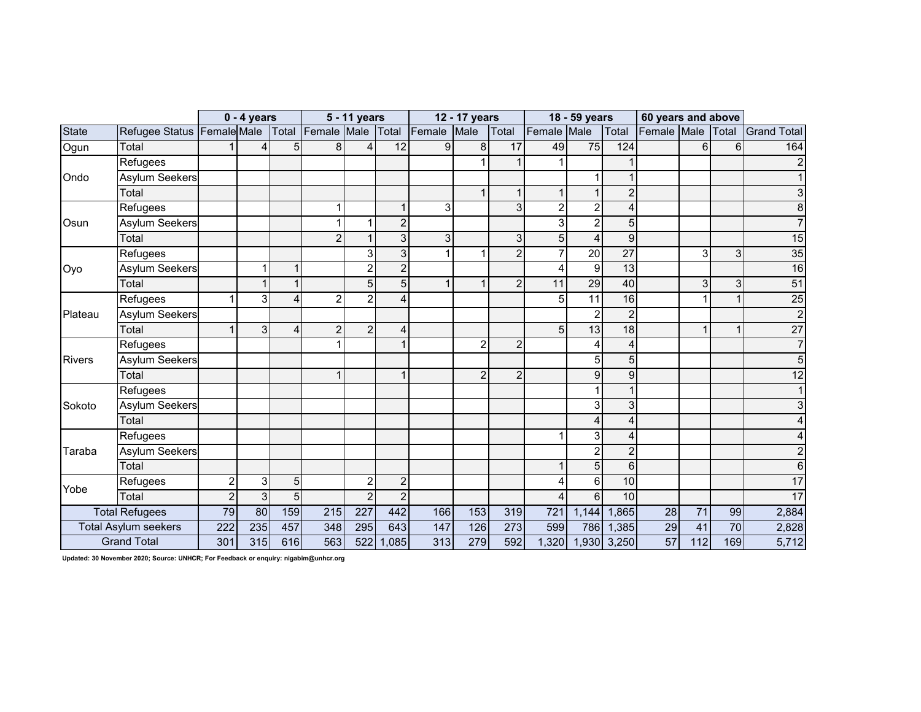|               |                             |                | $0 - 4$ years  |          |                | 5 - 11 years   |                |        | 12 - 17 years  |                |                         | 18 - 59 years   |                | 60 years and above |                |                |                    |
|---------------|-----------------------------|----------------|----------------|----------|----------------|----------------|----------------|--------|----------------|----------------|-------------------------|-----------------|----------------|--------------------|----------------|----------------|--------------------|
| <b>State</b>  | Refugee Status Female Male  |                |                | Total    | Female Male    |                | Total          | Female | Male           | Total          | Female                  | Male            | Total          | Female Male        |                | <b>Total</b>   | <b>Grand Total</b> |
| Ogun          | Total                       |                | 4              | 5        | 8              | 4              | 12             | 9      | 8              | 17             | 49                      | $\overline{75}$ | 124            |                    | $6\phantom{1}$ | 6              | 164                |
|               | Refugees                    |                |                |          |                |                |                |        |                |                |                         |                 |                |                    |                |                |                    |
| Ondo          | <b>Asylum Seekers</b>       |                |                |          |                |                |                |        |                |                |                         |                 |                |                    |                |                |                    |
|               | Total                       |                |                |          |                |                |                |        |                |                |                         |                 | $\overline{2}$ |                    |                |                |                    |
|               | Refugees                    |                |                |          |                |                | $\mathbf{1}$   | 3      |                | 3              | $\overline{\mathbf{c}}$ | $\overline{2}$  | 4              |                    |                |                |                    |
| Osun          | <b>Asylum Seekers</b>       |                |                |          |                |                | $\overline{c}$ |        |                |                | 3                       | $\mathfrak{p}$  | 5              |                    |                |                |                    |
|               | Total                       |                |                |          | $\overline{2}$ |                | $\overline{3}$ | 3      |                | 3              | $\overline{5}$          |                 | 9              |                    |                |                | 15                 |
|               | Refugees                    |                |                |          |                | 3              | 3              |        |                | $\overline{2}$ | $\overline{7}$          | 20              | 27             |                    | 3              | $\overline{3}$ | 35                 |
| Oyo           | <b>Asylum Seekers</b>       |                | 1              |          |                | 2              | $\overline{c}$ |        |                |                | 4                       | 9               | 13             |                    |                |                | 16                 |
|               | Total                       |                | 1              |          |                | 5              | 5              |        |                | $\overline{2}$ | 11                      | $\overline{29}$ | 40             |                    | 3              | 3 <sup>1</sup> | 51                 |
|               | Refugees                    |                | 3              | $\Delta$ | 2              | $\overline{2}$ | 4              |        |                |                | 5                       | 11              | 16             |                    | 1              |                | $\overline{25}$    |
| Plateau       | <b>Asylum Seekers</b>       |                |                |          |                |                |                |        |                |                |                         | $\overline{2}$  | $\overline{2}$ |                    |                |                | $\overline{2}$     |
|               | Total                       |                | 3              | Δ        | 2              | $\overline{2}$ | 4              |        |                |                | 5                       | 13              | 18             |                    | 1              |                | $\overline{27}$    |
|               | Refugees                    |                |                |          |                |                | $\mathbf{1}$   |        | 2              | $\overline{c}$ |                         |                 | 4              |                    |                |                |                    |
| <b>Rivers</b> | <b>Asylum Seekers</b>       |                |                |          |                |                |                |        |                |                |                         | 5               | 5              |                    |                |                | 5                  |
|               | Total                       |                |                |          |                |                | $\mathbf 1$    |        | $\overline{2}$ | $\overline{2}$ |                         | q               | 9              |                    |                |                | 12                 |
|               | Refugees                    |                |                |          |                |                |                |        |                |                |                         |                 |                |                    |                |                |                    |
| Sokoto        | <b>Asylum Seekers</b>       |                |                |          |                |                |                |        |                |                |                         | З               | 3              |                    |                |                |                    |
|               | Total                       |                |                |          |                |                |                |        |                |                |                         |                 | 4              |                    |                |                |                    |
|               | Refugees                    |                |                |          |                |                |                |        |                |                |                         |                 | 4              |                    |                |                |                    |
| Taraba        | <b>Asylum Seekers</b>       |                |                |          |                |                |                |        |                |                |                         |                 | $\overline{2}$ |                    |                |                |                    |
|               | Total                       |                |                |          |                |                |                |        |                |                |                         | 5               | 6              |                    |                |                | 6                  |
| Yobe          | Refugees                    | $\overline{2}$ | 3              | 5        |                | 2              | $\overline{2}$ |        |                |                | 4                       | 6               | 10             |                    |                |                | 17                 |
|               | Total                       | $\overline{2}$ | $\overline{3}$ | 5        |                | $\overline{2}$ | $\overline{2}$ |        |                |                | 4                       | 6               | 10             |                    |                |                | $\overline{17}$    |
|               | <b>Total Refugees</b>       | 79             | 80             | 159      | 215            | 227            | 442            | 166    | 153            | 319            | 721                     | 1,144           | 1,865          | 28                 | 71             | 99             | 2,884              |
|               | <b>Total Asylum seekers</b> | 222            | 235            | 457      | 348            | 295            | 643            | 147    | 126            | 273            | 599                     | 786             | 1,385          | 29                 | 41             | 70             | 2,828              |
|               | <b>Grand Total</b>          | 301            | 315            | 616      | 563            | 522            | 1,085          | 313    | 279            | 592            | 1,320                   |                 | 1,930 3,250    | 57                 | 112            | 169            | 5,712              |

**Updated: 30 November 2020; Source: UNHCR; For Feedback or enquiry: nigabim@unhcr.org**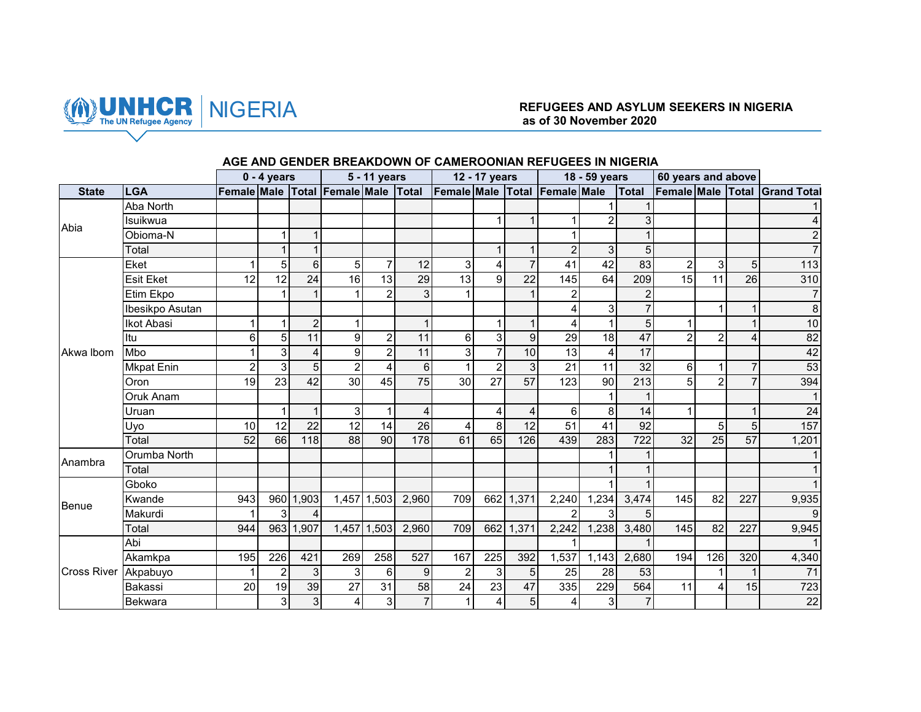

## NIGERIA **REFUGEES AND ASYLUM SEEKERS IN NIGERIA as of 30 November 2020**

|                    |                  |                 | $0 - 4$ years  |                |                 | 5 - 11 years    |                  |                                                                   | 12 - 17 years   |                 |                 | 18 - 59 years           |                 | 60 years and above |                |                 |                               |
|--------------------|------------------|-----------------|----------------|----------------|-----------------|-----------------|------------------|-------------------------------------------------------------------|-----------------|-----------------|-----------------|-------------------------|-----------------|--------------------|----------------|-----------------|-------------------------------|
| <b>State</b>       | <b>LGA</b>       |                 |                |                |                 |                 |                  | Female Male Total Female Male Total Female Male Total Female Male |                 |                 |                 |                         | Total           |                    |                |                 | Female Male Total Grand Total |
|                    | Aba North        |                 |                |                |                 |                 |                  |                                                                   |                 |                 |                 |                         |                 |                    |                |                 |                               |
| Abia               | Isuikwua         |                 |                |                |                 |                 |                  |                                                                   |                 | $\mathbf{1}$    | $\mathbf 1$     | $\overline{2}$          | 3               |                    |                |                 | 4                             |
|                    | Obioma-N         |                 | 1              | 1              |                 |                 |                  |                                                                   |                 |                 |                 |                         |                 |                    |                |                 | $\overline{c}$                |
|                    | Total            |                 |                |                |                 |                 |                  |                                                                   |                 | $\mathbf{1}$    | $\overline{2}$  | $\overline{3}$          | 5 <sup>5</sup>  |                    |                |                 | $\overline{7}$                |
|                    | Eket             |                 | 5              | 6              | 5               | $\overline{7}$  | 12               | $\overline{3}$                                                    |                 | $\overline{7}$  | 41              | $\overline{42}$         | 83              | $\overline{2}$     | 3 <sup>1</sup> | 5 <sup>1</sup>  | 113                           |
|                    | <b>Esit Eket</b> | 12              | 12             | 24             | 16              | $\overline{13}$ | 29               | $\overline{13}$                                                   | 9               | $\overline{22}$ | 145             | 64                      | 209             | 15                 | 11             | 26              | 310                           |
|                    | Etim Ekpo        |                 |                |                |                 | $\overline{2}$  | $\overline{3}$   | $\mathbf 1$                                                       |                 | $\mathbf{1}$    | $\overline{a}$  |                         | $\overline{2}$  |                    |                |                 | $\overline{7}$                |
|                    | Ibesikpo Asutan  |                 |                |                |                 |                 |                  |                                                                   |                 |                 | 4               | $\overline{3}$          |                 |                    |                | 1               | $\infty$                      |
|                    | Ikot Abasi       |                 | 1              | $\overline{2}$ |                 |                 | $\mathbf{1}$     |                                                                   |                 | $\mathbf{1}$    | $\overline{4}$  | $\mathbf{1}$            | 5 <sub>l</sub>  |                    |                | $\mathbf{1}$    | 10                            |
|                    | Itu              | 6               | 5              | 11             | 9               | $\overline{c}$  | 11               | 6                                                                 | 3               | $\overline{9}$  | 29              | 18                      | 47              | $\mathfrak{p}$     | $\overline{2}$ | $\overline{4}$  | 82                            |
| Akwa Ibom          | Mbo              |                 | 3              | 4              | 9               | $\overline{c}$  | 11               | $\overline{3}$                                                    | $\overline{7}$  | 10              | 13              | $\overline{\mathbf{4}}$ | 17              |                    |                |                 | 42                            |
|                    | Mkpat Enin       | $\overline{2}$  | $\overline{3}$ | $\overline{5}$ | $\overline{2}$  | 4               | $\overline{6}$   | $\mathbf{1}$                                                      | $\overline{2}$  | $\overline{3}$  | 21              | 11                      | 32              | 6                  |                | $\overline{7}$  | 53                            |
|                    | Oron             | 19              | 23             | 42             | 30              | 45              | 75               | 30                                                                | 27              | 57              | 123             | 90                      | 213             | 5                  | $\overline{2}$ | $\overline{7}$  | 394                           |
|                    | Oruk Anam        |                 |                |                |                 |                 |                  |                                                                   |                 |                 |                 | $\mathbf{1}$            |                 |                    |                |                 | $\mathbf{1}$                  |
|                    | Uruan            |                 | $\mathbf{1}$   | $\mathbf{1}$   | 3               | $\mathbf{1}$    | 4                |                                                                   | 4               | 4               | 6               | $\mathbf{8}$            | 14              |                    |                | $\mathbf{1}$    | 24                            |
|                    | Uyo              | 10              | 12             | 22             | 12              | 14              | 26               | 4                                                                 | 8               | 12              | 51              | 41                      | 92              |                    | 5 <sub>l</sub> | 5               | 157                           |
|                    | Total            | $\overline{52}$ | 66             | 118            | 88              | 90              | 178              | 61                                                                | 65              | 126             | 439             | 283                     | 722             | $\overline{32}$    | 25             | $\overline{57}$ | 1,201                         |
| Anambra            | Orumba North     |                 |                |                |                 |                 |                  |                                                                   |                 |                 |                 |                         |                 |                    |                |                 | $\mathbf{1}$                  |
|                    | Total            |                 |                |                |                 |                 |                  |                                                                   |                 |                 |                 |                         |                 |                    |                |                 |                               |
|                    | Gboko            |                 |                |                |                 |                 |                  |                                                                   |                 |                 |                 |                         |                 |                    |                |                 |                               |
| Benue              | Kwande           | 943             |                | 960 1,903      |                 | 1,457 1,503     | 2,960            | 709                                                               |                 | 662 1,371       | 2,240           | 1,234                   | 3,474           | 145                | 82             | 227             | 9,935                         |
|                    | Makurdi          | 1               | $\overline{3}$ | 4              |                 |                 |                  |                                                                   |                 |                 | 2               | $\overline{3}$          | $5\overline{)}$ |                    |                |                 | $\overline{9}$                |
|                    | Total            | 944             |                | 963 1,907      |                 | 1,457 1,503     | 2,960            | 709                                                               |                 | 662 1,371       | 2,242           | 1,238                   | 3,480           | 145                | 82             | 227             | 9,945                         |
|                    | Abi              |                 |                |                |                 |                 |                  |                                                                   |                 |                 |                 |                         |                 |                    |                |                 |                               |
|                    | Akamkpa          | 195             | 226            | 421            | 269             | 258             | 527              | 167                                                               | 225             | 392             | 1,537           | 1,143                   | 2,680           | 194                | 126            | 320             | 4,340                         |
| <b>Cross River</b> | Akpabuyo         | 1               | $\overline{c}$ | 3              | 3               | 6               | $\boldsymbol{9}$ | $\overline{2}$                                                    | 3               | 5 <sup>1</sup>  | 25              | 28                      | 53              |                    |                | $\mathbf 1$     | 71                            |
|                    | Bakassi          | 20              | 19             | 39             | $\overline{27}$ | $\overline{31}$ | 58               | $\overline{24}$                                                   | $\overline{23}$ | 47              | 335             | 229                     | 564             | 11                 | 4              | 15              | 723                           |
|                    | <b>Bekwara</b>   |                 | 3              | 3 <sup>1</sup> | 4               | $\mathbf{3}$    | $\overline{7}$   | $\mathbf{1}$                                                      | 4               | 5 <sup>1</sup>  | $\vert 4 \vert$ | 3                       | $\overline{7}$  |                    |                |                 | 22                            |

### **AGE AND GENDER BREAKDOWN OF CAMEROONIAN REFUGEES IN NIGERIA**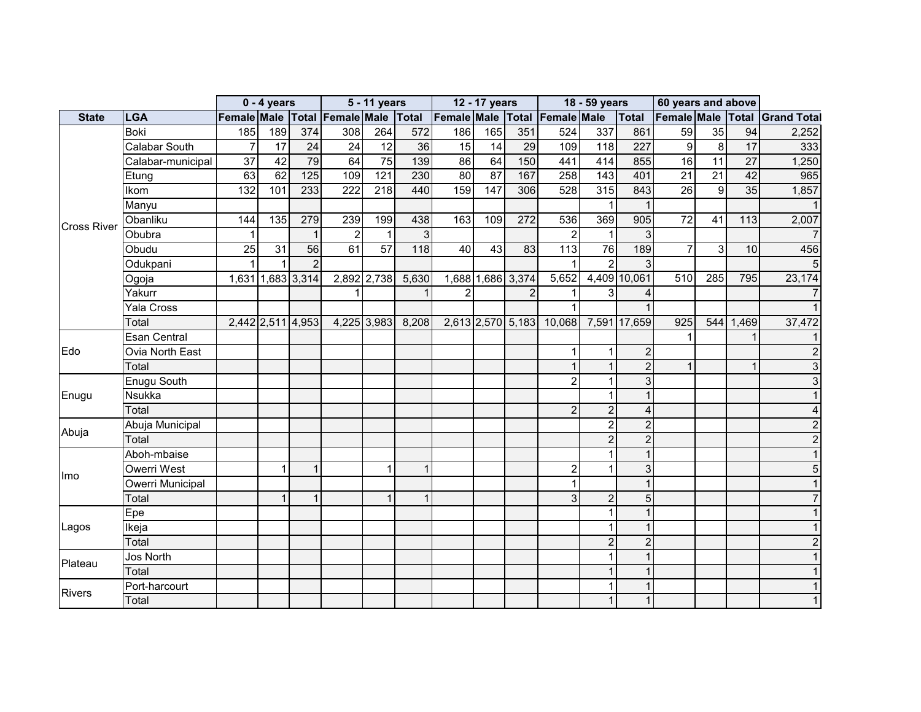|                    |                   |                                     | $0 - 4$ years   |                   |                 | 5 - 11 years     |                 |                 | 12 - 17 years |                   |                               | 18 - 59 years    |                | 60 years and above |                 |                 |                    |
|--------------------|-------------------|-------------------------------------|-----------------|-------------------|-----------------|------------------|-----------------|-----------------|---------------|-------------------|-------------------------------|------------------|----------------|--------------------|-----------------|-----------------|--------------------|
| <b>State</b>       | <b>LGA</b>        | Female Male Total Female Male Total |                 |                   |                 |                  |                 |                 |               |                   | Female Male Total Female Male |                  | Total          | Female Male Total  |                 |                 | <b>Grand Total</b> |
|                    | Boki              | 185                                 | 189             | 374               | 308             | 264              | 572             | 186             | 165           | 351               | 524                           | 337              | 861            | 59                 | 35              | 94              | 2,252              |
|                    | Calabar South     | $\overline{7}$                      | $\overline{17}$ | 24                | $\overline{24}$ | $\overline{12}$  | $\overline{36}$ | 15              | 14            | 29                | 109                           | $\overline{118}$ | 227            | 9                  | $\overline{8}$  | $\overline{17}$ | 333                |
|                    | Calabar-municipal | 37                                  | 42              | 79                | 64              | 75               | 139             | 86              | 64            | 150               | 441                           | 414              | 855            | 16                 | 11              | 27              | 1,250              |
|                    | Etung             | 63                                  | 62              | $\overline{125}$  | 109             | $\overline{121}$ | 230             | $\overline{80}$ | 87            | 167               | 258                           | $\frac{1}{143}$  | 401            | $\overline{21}$    | $\overline{21}$ | $\overline{42}$ | 965                |
|                    | Ikom              | 132                                 | 101             | 233               | 222             | 218              | 440             | 159             | 147           | 306               | 528                           | 315              | 843            | 26                 | 9               | 35              | 1,857              |
|                    | Manyu             |                                     |                 |                   |                 |                  |                 |                 |               |                   |                               |                  |                |                    |                 |                 |                    |
| <b>Cross River</b> | Obanliku          | 144                                 | 135             | 279               | 239             | 199              | 438             | 163             | 109           | 272               | 536                           | 369              | 905            | $\overline{72}$    | 41              | 113             | 2,007              |
|                    | Obubra            | 1                                   |                 |                   | $\overline{2}$  | $\mathbf{1}$     | $\overline{3}$  |                 |               |                   | $\overline{2}$                |                  |                |                    |                 |                 |                    |
|                    | Obudu             | 25                                  | 31              | 56                | 61              | 57               | 118             | 40              | 43            | 83                | 113                           | 76               | 189            | 7                  | 3               | 10              | 456                |
|                    | Odukpani          | $\mathbf{1}$                        | $\mathbf{1}$    | $\overline{2}$    |                 |                  |                 |                 |               |                   |                               | $\overline{2}$   |                |                    |                 |                 | 5                  |
|                    | Ogoja             |                                     |                 | 1,631 1,683 3,314 |                 | 2,892 2,738      | 5,630           |                 |               | 1,688 1,686 3,374 | $\overline{5,652}$            |                  | 4,409 10,061   | 510                | 285             | 795             | 23,174             |
|                    | Yakurr            |                                     |                 |                   |                 |                  | $\mathbf{1}$    | $\mathcal{P}$   |               | $\overline{2}$    |                               |                  |                |                    |                 |                 |                    |
|                    | Yala Cross        |                                     |                 |                   |                 |                  |                 |                 |               |                   |                               |                  |                |                    |                 |                 |                    |
|                    | Total             |                                     |                 | 2,442 2,511 4,953 |                 | 4,225 3,983      | 8,208           |                 |               | 2,613 2,570 5,183 | 10,068                        |                  | 7,591 17,659   | 925                |                 | 544 1,469       | 37,472             |
|                    | Esan Central      |                                     |                 |                   |                 |                  |                 |                 |               |                   |                               |                  |                |                    |                 |                 |                    |
| Edo                | Ovia North East   |                                     |                 |                   |                 |                  |                 |                 |               |                   | 1                             |                  | $\mathcal{P}$  |                    |                 |                 | 2                  |
|                    | Total             |                                     |                 |                   |                 |                  |                 |                 |               |                   | 1                             | $\mathbf{1}$     | $\mathfrak{p}$ |                    |                 |                 | 3                  |
|                    | Enugu South       |                                     |                 |                   |                 |                  |                 |                 |               |                   | $\overline{2}$                |                  | 3              |                    |                 |                 | 3                  |
| Enugu              | <b>Nsukka</b>     |                                     |                 |                   |                 |                  |                 |                 |               |                   |                               |                  |                |                    |                 |                 |                    |
|                    | Total             |                                     |                 |                   |                 |                  |                 |                 |               |                   | $\overline{2}$                | $\overline{2}$   |                |                    |                 |                 |                    |
|                    | Abuja Municipal   |                                     |                 |                   |                 |                  |                 |                 |               |                   |                               | $\overline{c}$   |                |                    |                 |                 |                    |
| Abuja              | Total             |                                     |                 |                   |                 |                  |                 |                 |               |                   |                               | $\overline{2}$   | $\overline{2}$ |                    |                 |                 | $\overline{2}$     |
|                    | Aboh-mbaise       |                                     |                 |                   |                 |                  |                 |                 |               |                   |                               |                  |                |                    |                 |                 |                    |
|                    | Owerri West       |                                     | 1               | 1                 |                 | $\mathbf{1}$     | $\mathbf{1}$    |                 |               |                   | $\overline{c}$                |                  | 3              |                    |                 |                 | 5                  |
| Imo                | Owerri Municipal  |                                     |                 |                   |                 |                  |                 |                 |               |                   | 1                             |                  |                |                    |                 |                 |                    |
|                    | Total             |                                     |                 | $\overline{A}$    |                 | $\mathbf{1}$     | $\mathbf{1}$    |                 |               |                   | 3                             | $\overline{c}$   | 5              |                    |                 |                 |                    |
|                    | Epe               |                                     |                 |                   |                 |                  |                 |                 |               |                   |                               |                  |                |                    |                 |                 |                    |
| Lagos              | Ikeja             |                                     |                 |                   |                 |                  |                 |                 |               |                   |                               |                  |                |                    |                 |                 |                    |
|                    | Total             |                                     |                 |                   |                 |                  |                 |                 |               |                   |                               | $\overline{2}$   | $\mathcal{P}$  |                    |                 |                 | 2                  |
|                    | Jos North         |                                     |                 |                   |                 |                  |                 |                 |               |                   |                               |                  |                |                    |                 |                 |                    |
| Plateau            | Total             |                                     |                 |                   |                 |                  |                 |                 |               |                   |                               | $\mathbf 1$      |                |                    |                 |                 |                    |
|                    | Port-harcourt     |                                     |                 |                   |                 |                  |                 |                 |               |                   |                               |                  |                |                    |                 |                 |                    |
| <b>Rivers</b>      | Total             |                                     |                 |                   |                 |                  |                 |                 |               |                   |                               | $\mathbf{1}$     |                |                    |                 |                 |                    |